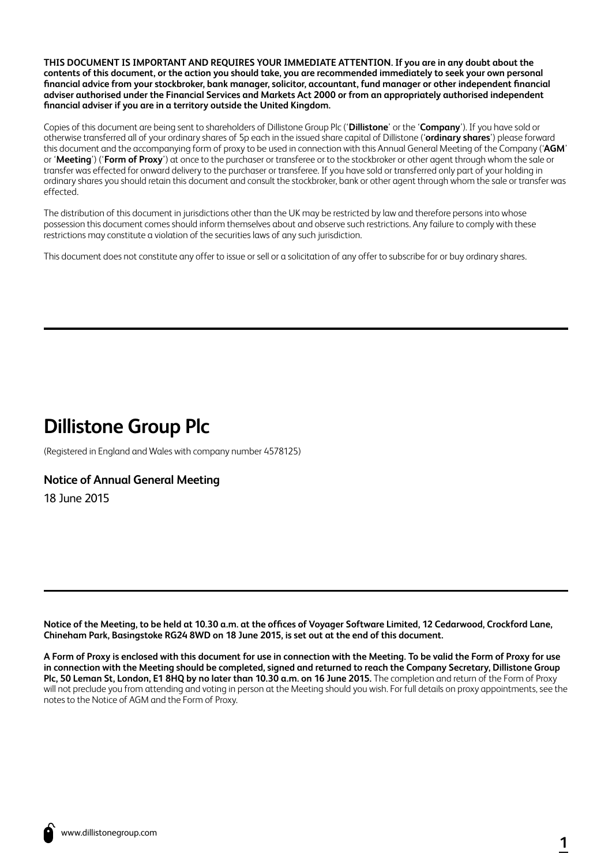**THIS DOCUMENT IS IMPORTANT AND REQUIRES YOUR IMMEDIATE ATTENTION. If you are in any doubt about the contents of this document, or the action you should take, you are recommended immediately to seek your own personal financial advice from your stockbroker, bank manager, solicitor, accountant, fund manager or other independent financial adviser authorised under the Financial Services and Markets Act 2000 or from an appropriately authorised independent financial adviser if you are in a territory outside the United Kingdom.**

Copies of this document are being sent to shareholders of Dillistone Group Plc ('**Dillistone**' or the '**Company**'). If you have sold or otherwise transferred all of your ordinary shares of 5p each in the issued share capital of Dillistone ('**ordinary shares**') please forward this document and the accompanying form of proxy to be used in connection with this Annual General Meeting of the Company ('**AGM**' or '**Meeting**') ('**Form of Proxy**') at once to the purchaser or transferee or to the stockbroker or other agent through whom the sale or transfer was effected for onward delivery to the purchaser or transferee. If you have sold or transferred only part of your holding in ordinary shares you should retain this document and consult the stockbroker, bank or other agent through whom the sale or transfer was effected.

The distribution of this document in jurisdictions other than the UK may be restricted by law and therefore persons into whose possession this document comes should inform themselves about and observe such restrictions. Any failure to comply with these restrictions may constitute a violation of the securities laws of any such jurisdiction.

This document does not constitute any offer to issue or sell or a solicitation of any offer to subscribe for or buy ordinary shares.

# **Dillistone Group Plc**

(Registered in England and Wales with company number 4578125)

# **Notice of Annual General Meeting**

18 June 2015

**Notice of the Meeting, to be held at 10.30 a.m. at the offices of Voyager Software Limited, 12 Cedarwood, Crockford Lane, Chineham Park, Basingstoke RG24 8WD on 18 June 2015, is set out at the end of this document.**

**A Form of Proxy is enclosed with this document for use in connection with the Meeting. To be valid the Form of Proxy for use in connection with the Meeting should be completed, signed and returned to reach the Company Secretary, Dillistone Group Plc, 50 Leman St, London, E1 8HQ by no later than 10.30 a.m. on 16 June 2015.** The completion and return of the Form of Proxy will not preclude you from attending and voting in person at the Meeting should you wish. For full details on proxy appointments, see the notes to the Notice of AGM and the Form of Proxy.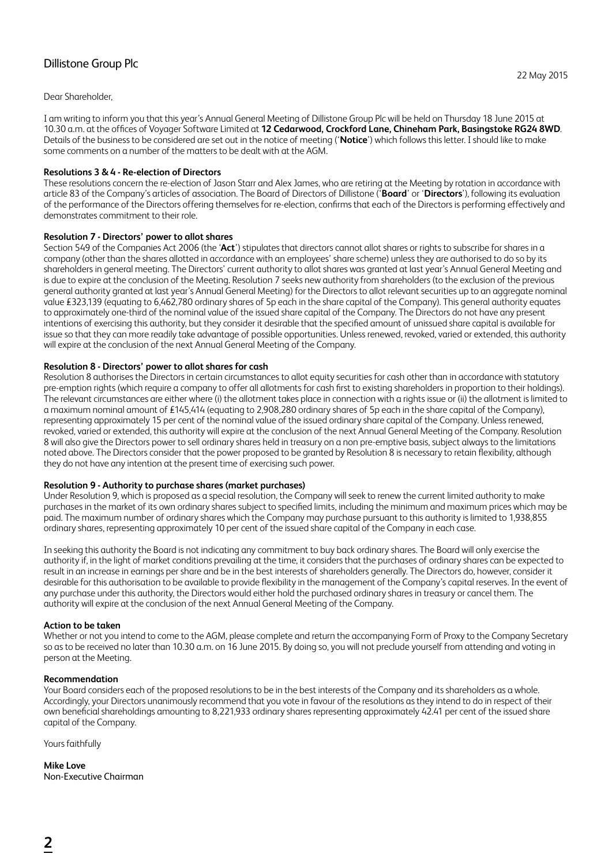# Dillistone Group Plc

Dear Shareholder,

I am writing to inform you that this year's Annual General Meeting of Dillistone Group Plc will be held on Thursday 18 June 2015 at 10.30 a.m. at the offices of Voyager Software Limited at **12 Cedarwood, Crockford Lane, Chineham Park, Basingstoke RG24 8WD**. Details of the business to be considered are set out in the notice of meeting ('**Notice**') which follows this letter. I should like to make some comments on a number of the matters to be dealt with at the AGM.

# **Resolutions 3 & 4 - Re-election of Directors**

These resolutions concern the re-election of Jason Starr and Alex James, who are retiring at the Meeting by rotation in accordance with article 83 of the Company's articles of association. The Board of Directors of Dillistone ('**Board**' or '**Directors**'), following its evaluation of the performance of the Directors offering themselves for re-election, confirms that each of the Directors is performing effectively and demonstrates commitment to their role.

# **Resolution 7 - Directors' power to allot shares**

Section 549 of the Companies Act 2006 (the '**Act**') stipulates that directors cannot allot shares or rights to subscribe for shares in a company (other than the shares allotted in accordance with an employees' share scheme) unless they are authorised to do so by its shareholders in general meeting. The Directors' current authority to allot shares was granted at last year's Annual General Meeting and is due to expire at the conclusion of the Meeting. Resolution 7 seeks new authority from shareholders (to the exclusion of the previous general authority granted at last year's Annual General Meeting) for the Directors to allot relevant securities up to an aggregate nominal value £323,139 (equating to 6,462,780 ordinary shares of 5p each in the share capital of the Company). This general authority equates to approximately one-third of the nominal value of the issued share capital of the Company. The Directors do not have any present intentions of exercising this authority, but they consider it desirable that the specified amount of unissued share capital is available for issue so that they can more readily take advantage of possible opportunities. Unless renewed, revoked, varied or extended, this authority will expire at the conclusion of the next Annual General Meeting of the Company.

# **Resolution 8 - Directors' power to allot shares for cash**

Resolution 8 authorises the Directors in certain circumstances to allot equity securities for cash other than in accordance with statutory pre-emption rights (which require a company to offer all allotments for cash first to existing shareholders in proportion to their holdings). The relevant circumstances are either where (i) the allotment takes place in connection with a rights issue or (ii) the allotment is limited to a maximum nominal amount of £145,414 (equating to 2,908,280 ordinary shares of 5p each in the share capital of the Company), representing approximately 15 per cent of the nominal value of the issued ordinary share capital of the Company. Unless renewed, revoked, varied or extended, this authority will expire at the conclusion of the next Annual General Meeting of the Company. Resolution 8 will also give the Directors power to sell ordinary shares held in treasury on a non pre-emptive basis, subject always to the limitations noted above. The Directors consider that the power proposed to be granted by Resolution 8 is necessary to retain flexibility, although they do not have any intention at the present time of exercising such power.

# **Resolution 9 - Authority to purchase shares (market purchases)**

Under Resolution 9, which is proposed as a special resolution, the Company will seek to renew the current limited authority to make purchases in the market of its own ordinary shares subject to specified limits, including the minimum and maximum prices which may be paid. The maximum number of ordinary shares which the Company may purchase pursuant to this authority is limited to 1,938,855 ordinary shares, representing approximately 10 per cent of the issued share capital of the Company in each case.

In seeking this authority the Board is not indicating any commitment to buy back ordinary shares. The Board will only exercise the authority if, in the light of market conditions prevailing at the time, it considers that the purchases of ordinary shares can be expected to result in an increase in earnings per share and be in the best interests of shareholders generally. The Directors do, however, consider it desirable for this authorisation to be available to provide flexibility in the management of the Company's capital reserves. In the event of any purchase under this authority, the Directors would either hold the purchased ordinary shares in treasury or cancel them. The authority will expire at the conclusion of the next Annual General Meeting of the Company.

# **Action to be taken**

Whether or not you intend to come to the AGM, please complete and return the accompanying Form of Proxy to the Company Secretary so as to be received no later than 10.30 a.m. on 16 June 2015. By doing so, you will not preclude yourself from attending and voting in person at the Meeting.

# **Recommendation**

Your Board considers each of the proposed resolutions to be in the best interests of the Company and its shareholders as a whole. Accordingly, your Directors unanimously recommend that you vote in favour of the resolutions as they intend to do in respect of their own beneficial shareholdings amounting to 8,221,933 ordinary shares representing approximately 42.41 per cent of the issued share capital of the Company.

Yours faithfully

**Mike Love** Non-Executive Chairman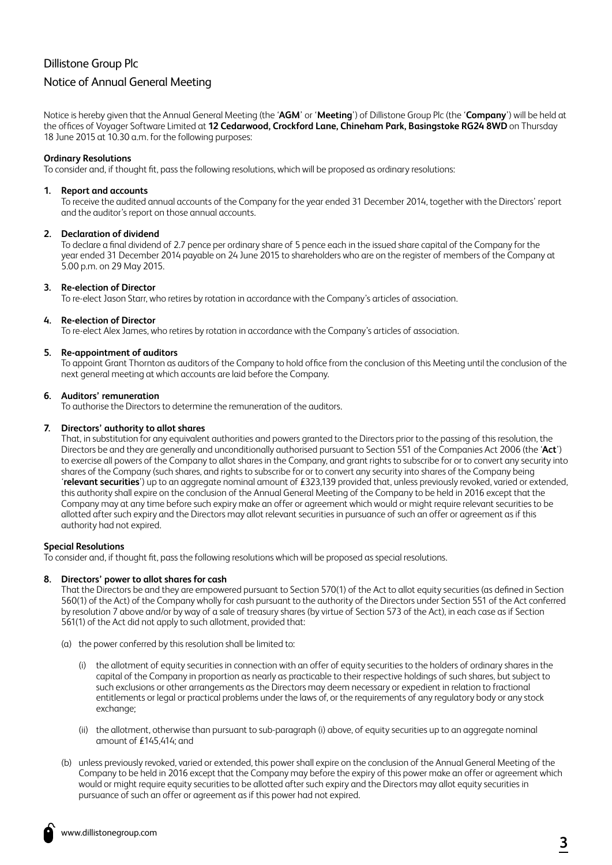# Dillistone Group Plc

# Notice of Annual General Meeting

Notice is hereby given that the Annual General Meeting (the '**AGM**' or '**Meeting**') of Dillistone Group Plc (the '**Company**') will be held at the offices of Voyager Software Limited at **12 Cedarwood, Crockford Lane, Chineham Park, Basingstoke RG24 8WD** on Thursday 18 June 2015 at 10.30 a.m. for the following purposes:

# **Ordinary Resolutions**

To consider and, if thought fit, pass the following resolutions, which will be proposed as ordinary resolutions:

#### **1. Report and accounts**

To receive the audited annual accounts of the Company for the year ended 31 December 2014, together with the Directors' report and the auditor's report on those annual accounts.

#### **2. Declaration of dividend**

To declare a final dividend of 2.7 pence per ordinary share of 5 pence each in the issued share capital of the Company for the year ended 31 December 2014 payable on 24 June 2015 to shareholders who are on the register of members of the Company at 5.00 p.m. on 29 May 2015.

#### **3. Re-election of Director**

To re-elect Jason Starr, who retires by rotation in accordance with the Company's articles of association.

# **4. Re-election of Director**

To re-elect Alex James, who retires by rotation in accordance with the Company's articles of association.

# **5. Re-appointment of auditors**

To appoint Grant Thornton as auditors of the Company to hold office from the conclusion of this Meeting until the conclusion of the next general meeting at which accounts are laid before the Company.

#### **6. Auditors' remuneration**

To authorise the Directors to determine the remuneration of the auditors.

#### **7. Directors' authority to allot shares**

That, in substitution for any equivalent authorities and powers granted to the Directors prior to the passing of this resolution, the Directors be and they are generally and unconditionally authorised pursuant to Section 551 of the Companies Act 2006 (the '**Act**') to exercise all powers of the Company to allot shares in the Company, and grant rights to subscribe for or to convert any security into shares of the Company (such shares, and rights to subscribe for or to convert any security into shares of the Company being '**relevant securities**') up to an aggregate nominal amount of £323,139 provided that, unless previously revoked, varied or extended, this authority shall expire on the conclusion of the Annual General Meeting of the Company to be held in 2016 except that the Company may at any time before such expiry make an offer or agreement which would or might require relevant securities to be allotted after such expiry and the Directors may allot relevant securities in pursuance of such an offer or agreement as if this authority had not expired.

# **Special Resolutions**

To consider and, if thought fit, pass the following resolutions which will be proposed as special resolutions.

#### **8. Directors' power to allot shares for cash**

That the Directors be and they are empowered pursuant to Section 570(1) of the Act to allot equity securities (as defined in Section 560(1) of the Act) of the Company wholly for cash pursuant to the authority of the Directors under Section 551 of the Act conferred by resolution 7 above and/or by way of a sale of treasury shares (by virtue of Section 573 of the Act), in each case as if Section 561(1) of the Act did not apply to such allotment, provided that:

- (a) the power conferred by this resolution shall be limited to:
	- (i) the allotment of equity securities in connection with an offer of equity securities to the holders of ordinary shares in the capital of the Company in proportion as nearly as practicable to their respective holdings of such shares, but subject to such exclusions or other arrangements as the Directors may deem necessary or expedient in relation to fractional entitlements or legal or practical problems under the laws of, or the requirements of any regulatory body or any stock exchange:
	- (ii) the allotment, otherwise than pursuant to sub-paragraph (i) above, of equity securities up to an aggregate nominal amount of £145,414; and
- (b) unless previously revoked, varied or extended, this power shall expire on the conclusion of the Annual General Meeting of the Company to be held in 2016 except that the Company may before the expiry of this power make an offer or agreement which would or might require equity securities to be allotted after such expiry and the Directors may allot equity securities in pursuance of such an offer or agreement as if this power had not expired.